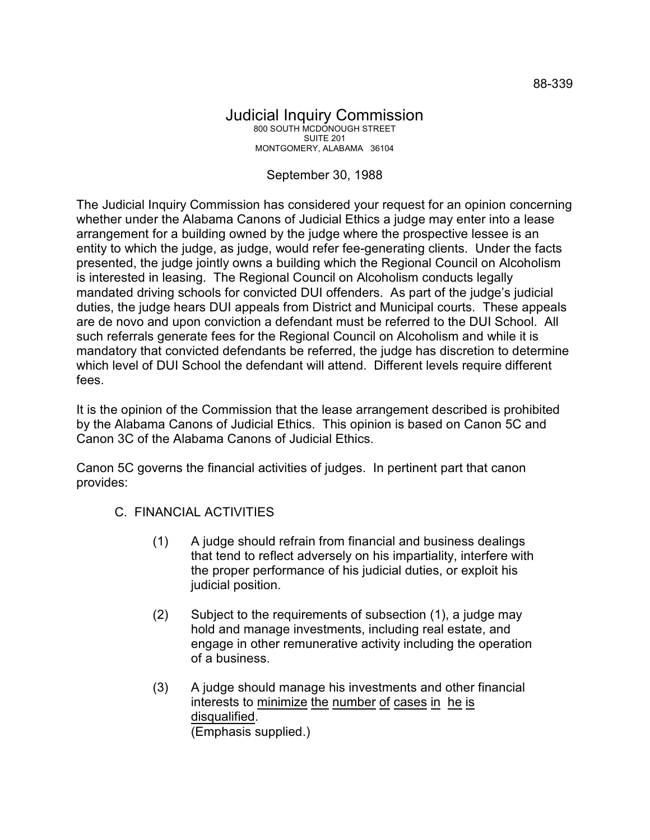## Judicial Inquiry Commission 800 SOUTH MCDONOUGH STREET SUITE 201 MONTGOMERY, ALABAMA 36104

## September 30, 1988

The Judicial Inquiry Commission has considered your request for an opinion concerning whether under the Alabama Canons of Judicial Ethics a judge may enter into a lease arrangement for a building owned by the judge where the prospective lessee is an entity to which the judge, as judge, would refer fee-generating clients. Under the facts presented, the judge jointly owns a building which the Regional Council on Alcoholism is interested in leasing. The Regional Council on Alcoholism conducts legally mandated driving schools for convicted DUI offenders. As part of the judge's judicial duties, the judge hears DUI appeals from District and Municipal courts. These appeals are de novo and upon conviction a defendant must be referred to the DUI School. All such referrals generate fees for the Regional Council on Alcoholism and while it is mandatory that convicted defendants be referred, the judge has discretion to determine which level of DUI School the defendant will attend. Different levels require different fees.

It is the opinion of the Commission that the lease arrangement described is prohibited by the Alabama Canons of Judicial Ethics. This opinion is based on Canon 5C and Canon 3C of the Alabama Canons of Judicial Ethics.

Canon 5C governs the financial activities of judges. In pertinent part that canon provides:

- C. FINANCIAL ACTIVITIES
	- (1) A judge should refrain from financial and business dealings that tend to reflect adversely on his impartiality, interfere with the proper performance of his judicial duties, or exploit his judicial position.
	- (2) Subject to the requirements of subsection (1), a judge may hold and manage investments, including real estate, and engage in other remunerative activity including the operation of a business.
	- (3) A judge should manage his investments and other financial interests to minimize the number of cases in he is disqualified. (Emphasis supplied.)